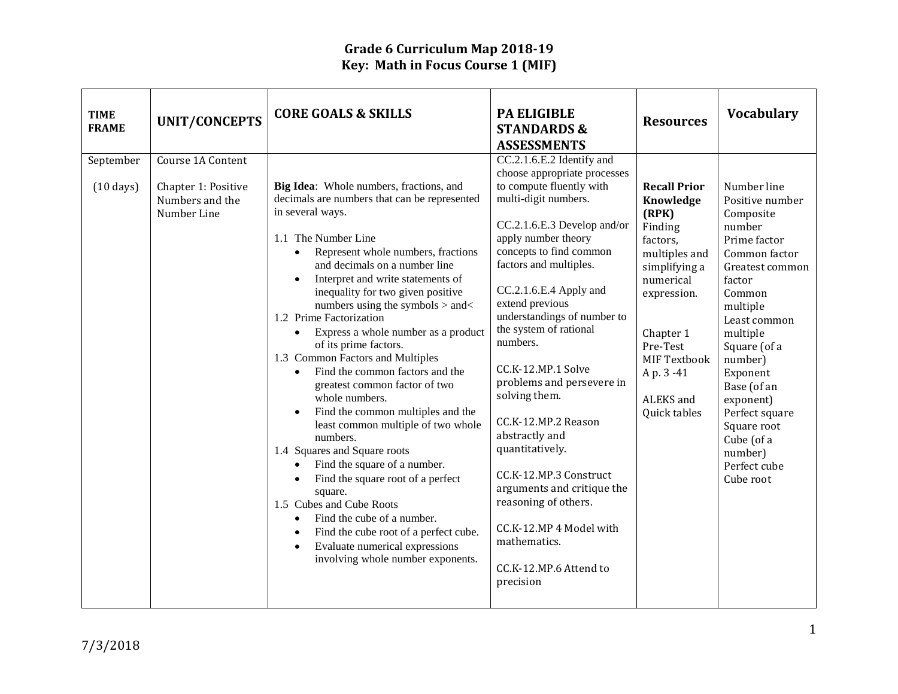| <b>TIME</b><br><b>FRAME</b>      | <b>UNIT/CONCEPTS</b>                                                       | <b>CORE GOALS &amp; SKILLS</b>                                                                                                                                                                                                                                                                                                                                                                                                                                                                                                                                                                                                                                                                                                                                                                                                                                                                                                                                                                                           | <b>PA ELIGIBLE</b><br><b>STANDARDS &amp;</b><br><b>ASSESSMENTS</b>                                                                                                                                                                                                                                                                                                                                                                                                                                                                                                                                                                           | <b>Resources</b>                                                                                                                                                                                                        | <b>Vocabulary</b>                                                                                                                                                                                                                                                                                                               |
|----------------------------------|----------------------------------------------------------------------------|--------------------------------------------------------------------------------------------------------------------------------------------------------------------------------------------------------------------------------------------------------------------------------------------------------------------------------------------------------------------------------------------------------------------------------------------------------------------------------------------------------------------------------------------------------------------------------------------------------------------------------------------------------------------------------------------------------------------------------------------------------------------------------------------------------------------------------------------------------------------------------------------------------------------------------------------------------------------------------------------------------------------------|----------------------------------------------------------------------------------------------------------------------------------------------------------------------------------------------------------------------------------------------------------------------------------------------------------------------------------------------------------------------------------------------------------------------------------------------------------------------------------------------------------------------------------------------------------------------------------------------------------------------------------------------|-------------------------------------------------------------------------------------------------------------------------------------------------------------------------------------------------------------------------|---------------------------------------------------------------------------------------------------------------------------------------------------------------------------------------------------------------------------------------------------------------------------------------------------------------------------------|
| September<br>$(10 \text{ days})$ | Course 1A Content<br>Chapter 1: Positive<br>Numbers and the<br>Number Line | Big Idea: Whole numbers, fractions, and<br>decimals are numbers that can be represented<br>in several ways.<br>1.1 The Number Line<br>Represent whole numbers, fractions<br>$\bullet$<br>and decimals on a number line<br>Interpret and write statements of<br>inequality for two given positive<br>numbers using the symbols > and<<br>1.2 Prime Factorization<br>Express a whole number as a product<br>$\bullet$<br>of its prime factors.<br>1.3 Common Factors and Multiples<br>Find the common factors and the<br>$\bullet$<br>greatest common factor of two<br>whole numbers.<br>Find the common multiples and the<br>least common multiple of two whole<br>numbers.<br>1.4 Squares and Square roots<br>Find the square of a number.<br>$\bullet$<br>Find the square root of a perfect<br>$\bullet$<br>square.<br>1.5 Cubes and Cube Roots<br>Find the cube of a number.<br>$\bullet$<br>Find the cube root of a perfect cube.<br>Evaluate numerical expressions<br>$\bullet$<br>involving whole number exponents. | CC.2.1.6.E.2 Identify and<br>choose appropriate processes<br>to compute fluently with<br>multi-digit numbers.<br>CC.2.1.6.E.3 Develop and/or<br>apply number theory<br>concepts to find common<br>factors and multiples.<br>CC.2.1.6.E.4 Apply and<br>extend previous<br>understandings of number to<br>the system of rational<br>numbers.<br>CC.K-12.MP.1 Solve<br>problems and persevere in<br>solving them.<br>CC.K-12.MP.2 Reason<br>abstractly and<br>quantitatively.<br>CC.K-12.MP.3 Construct<br>arguments and critique the<br>reasoning of others.<br>CC.K-12.MP 4 Model with<br>mathematics.<br>CC.K-12.MP.6 Attend to<br>precision | <b>Recall Prior</b><br>Knowledge<br>(RPK)<br>Finding<br>factors,<br>multiples and<br>simplifying a<br>numerical<br>expression.<br>Chapter 1<br>Pre-Test<br><b>MIF Textbook</b><br>Ap. 3-41<br>ALEKS and<br>Quick tables | Number line<br>Positive number<br>Composite<br>number<br>Prime factor<br>Common factor<br>Greatest common<br>factor<br>Common<br>multiple<br>Least common<br>multiple<br>Square (of a<br>number)<br>Exponent<br>Base (of an<br>exponent)<br>Perfect square<br>Square root<br>Cube (of a<br>number)<br>Perfect cube<br>Cube root |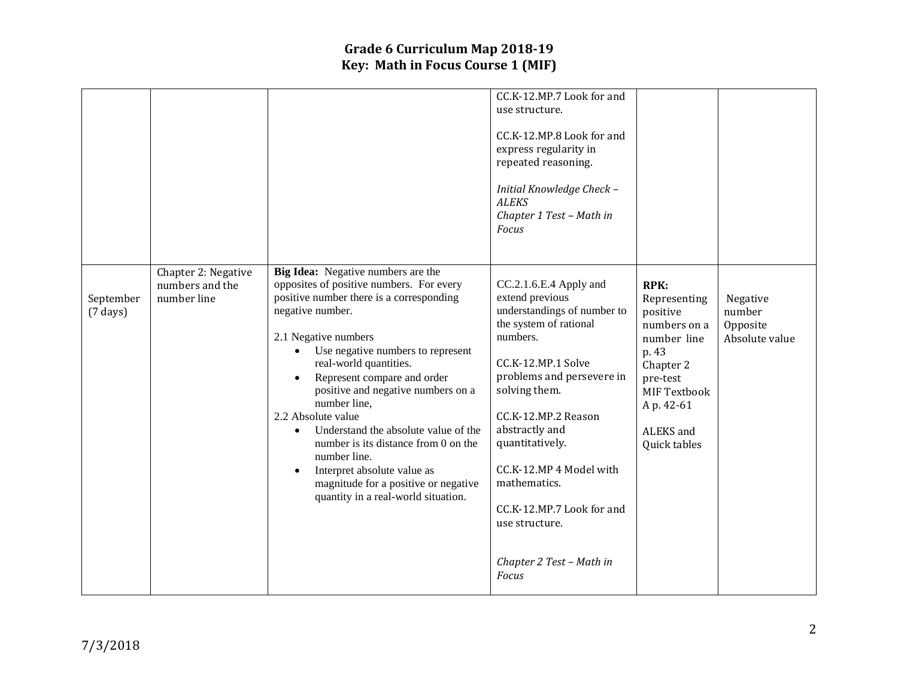|                                 |                                                       |                                                                                                                                                                                                                                                                                                                                                                                                                                                                                                                                                                                          | CC.K-12.MP.7 Look for and<br>use structure.<br>CC.K-12.MP.8 Look for and<br>express regularity in<br>repeated reasoning.<br>Initial Knowledge Check -<br><b>ALEKS</b><br>Chapter 1 Test - Math in<br>Focus                                                                                                                                                                           |                                                                                                                                                              |                                                  |
|---------------------------------|-------------------------------------------------------|------------------------------------------------------------------------------------------------------------------------------------------------------------------------------------------------------------------------------------------------------------------------------------------------------------------------------------------------------------------------------------------------------------------------------------------------------------------------------------------------------------------------------------------------------------------------------------------|--------------------------------------------------------------------------------------------------------------------------------------------------------------------------------------------------------------------------------------------------------------------------------------------------------------------------------------------------------------------------------------|--------------------------------------------------------------------------------------------------------------------------------------------------------------|--------------------------------------------------|
| September<br>$(7 \text{ days})$ | Chapter 2: Negative<br>numbers and the<br>number line | Big Idea: Negative numbers are the<br>opposites of positive numbers. For every<br>positive number there is a corresponding<br>negative number.<br>2.1 Negative numbers<br>Use negative numbers to represent<br>real-world quantities.<br>Represent compare and order<br>positive and negative numbers on a<br>number line,<br>2.2 Absolute value<br>Understand the absolute value of the<br>$\bullet$<br>number is its distance from 0 on the<br>number line.<br>Interpret absolute value as<br>$\bullet$<br>magnitude for a positive or negative<br>quantity in a real-world situation. | CC.2.1.6.E.4 Apply and<br>extend previous<br>understandings of number to<br>the system of rational<br>numbers.<br>CC.K-12.MP.1 Solve<br>problems and persevere in<br>solving them.<br>CC.K-12.MP.2 Reason<br>abstractly and<br>quantitatively.<br>CC.K-12.MP 4 Model with<br>mathematics.<br>CC.K-12.MP.7 Look for and<br>use structure.<br>Chapter 2 Test - Math in<br><b>Focus</b> | RPK:<br>Representing<br>positive<br>numbers on a<br>number line<br>p. 43<br>Chapter 2<br>pre-test<br>MIF Textbook<br>A p. 42-61<br>ALEKS and<br>Quick tables | Negative<br>number<br>Opposite<br>Absolute value |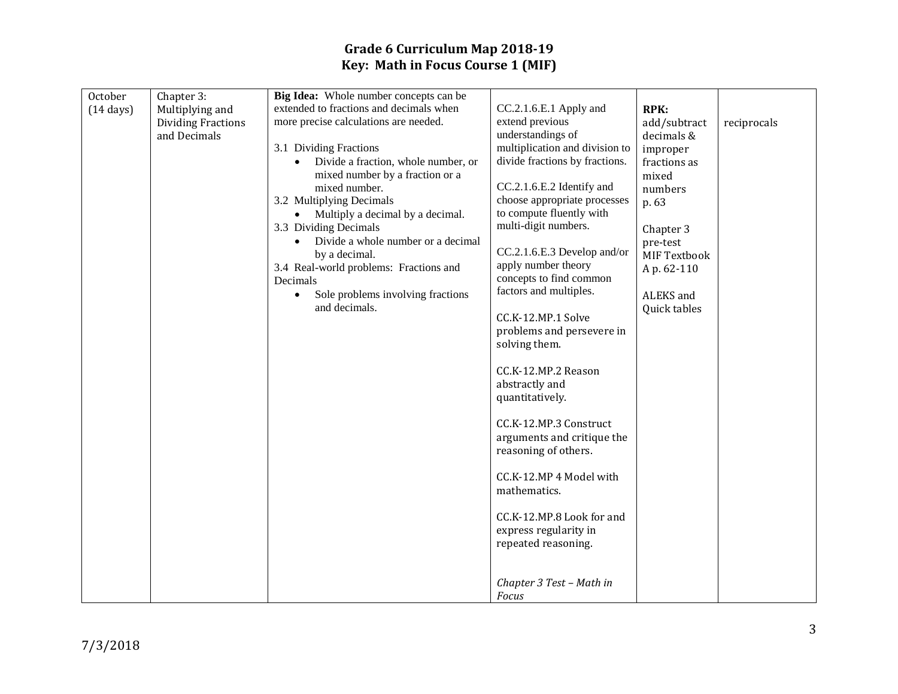| October             | Chapter 3:                | Big Idea: Whole number concepts can be             |                                |              |             |
|---------------------|---------------------------|----------------------------------------------------|--------------------------------|--------------|-------------|
| $(14 \text{ days})$ | Multiplying and           | extended to fractions and decimals when            | CC.2.1.6.E.1 Apply and         | <b>RPK:</b>  |             |
|                     | <b>Dividing Fractions</b> | more precise calculations are needed.              | extend previous                | add/subtract | reciprocals |
|                     | and Decimals              |                                                    | understandings of              | decimals &   |             |
|                     |                           | 3.1 Dividing Fractions                             | multiplication and division to | improper     |             |
|                     |                           | Divide a fraction, whole number, or                | divide fractions by fractions. | fractions as |             |
|                     |                           | mixed number by a fraction or a                    |                                | mixed        |             |
|                     |                           | mixed number.                                      | CC.2.1.6.E.2 Identify and      | numbers      |             |
|                     |                           | 3.2 Multiplying Decimals                           | choose appropriate processes   | p. 63        |             |
|                     |                           | Multiply a decimal by a decimal.                   | to compute fluently with       |              |             |
|                     |                           | 3.3 Dividing Decimals                              | multi-digit numbers.           | Chapter 3    |             |
|                     |                           | Divide a whole number or a decimal                 | CC.2.1.6.E.3 Develop and/or    | pre-test     |             |
|                     |                           | by a decimal.                                      | apply number theory            | MIF Textbook |             |
|                     |                           | 3.4 Real-world problems: Fractions and<br>Decimals | concepts to find common        | A p. 62-110  |             |
|                     |                           | Sole problems involving fractions<br>$\bullet$     | factors and multiples.         | ALEKS and    |             |
|                     |                           | and decimals.                                      |                                | Quick tables |             |
|                     |                           |                                                    | CC.K-12.MP.1 Solve             |              |             |
|                     |                           |                                                    | problems and persevere in      |              |             |
|                     |                           |                                                    | solving them.                  |              |             |
|                     |                           |                                                    |                                |              |             |
|                     |                           |                                                    | CC.K-12.MP.2 Reason            |              |             |
|                     |                           |                                                    | abstractly and                 |              |             |
|                     |                           |                                                    | quantitatively.                |              |             |
|                     |                           |                                                    |                                |              |             |
|                     |                           |                                                    | CC.K-12.MP.3 Construct         |              |             |
|                     |                           |                                                    | arguments and critique the     |              |             |
|                     |                           |                                                    | reasoning of others.           |              |             |
|                     |                           |                                                    | CC.K-12.MP 4 Model with        |              |             |
|                     |                           |                                                    | mathematics.                   |              |             |
|                     |                           |                                                    |                                |              |             |
|                     |                           |                                                    | CC.K-12.MP.8 Look for and      |              |             |
|                     |                           |                                                    | express regularity in          |              |             |
|                     |                           |                                                    | repeated reasoning.            |              |             |
|                     |                           |                                                    |                                |              |             |
|                     |                           |                                                    |                                |              |             |
|                     |                           |                                                    | Chapter 3 Test - Math in       |              |             |
|                     |                           |                                                    | Focus                          |              |             |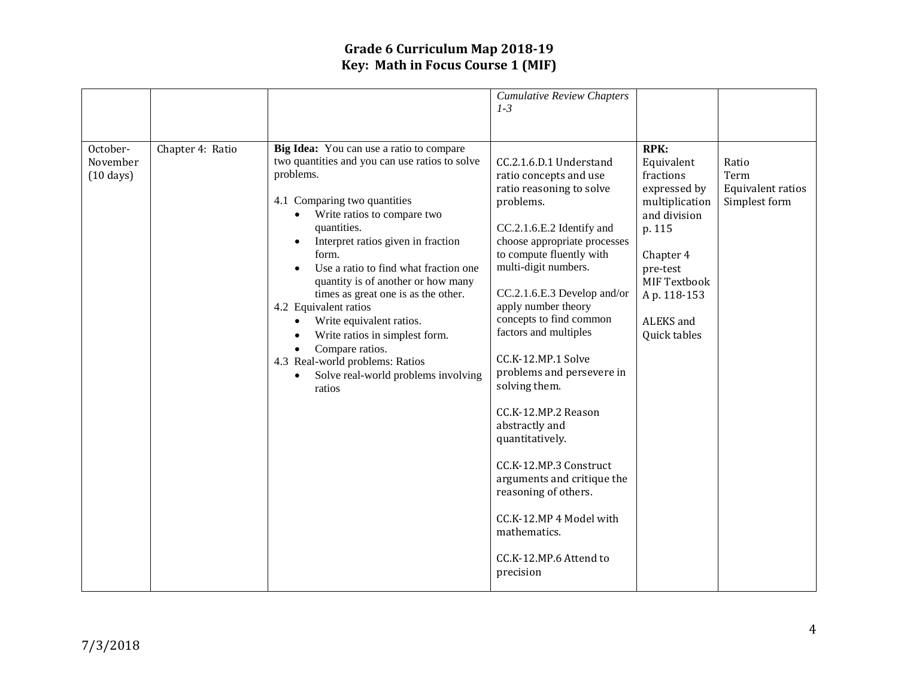|                                             |                  |                                                                                                                                                                                                                                                                                                                                                                                                                                                                                                                                                          | <b>Cumulative Review Chapters</b><br>$1-3$                                                                                                                                                                                                                                                                                                                                                                                                                                                                                                                                                                              |                                                                                                                                                                                         |                                                     |
|---------------------------------------------|------------------|----------------------------------------------------------------------------------------------------------------------------------------------------------------------------------------------------------------------------------------------------------------------------------------------------------------------------------------------------------------------------------------------------------------------------------------------------------------------------------------------------------------------------------------------------------|-------------------------------------------------------------------------------------------------------------------------------------------------------------------------------------------------------------------------------------------------------------------------------------------------------------------------------------------------------------------------------------------------------------------------------------------------------------------------------------------------------------------------------------------------------------------------------------------------------------------------|-----------------------------------------------------------------------------------------------------------------------------------------------------------------------------------------|-----------------------------------------------------|
| October-<br>November<br>$(10 \text{ days})$ | Chapter 4: Ratio | Big Idea: You can use a ratio to compare<br>two quantities and you can use ratios to solve<br>problems.<br>4.1 Comparing two quantities<br>Write ratios to compare two<br>quantities.<br>Interpret ratios given in fraction<br>form.<br>Use a ratio to find what fraction one<br>quantity is of another or how many<br>times as great one is as the other.<br>4.2 Equivalent ratios<br>Write equivalent ratios.<br>Write ratios in simplest form.<br>Compare ratios.<br>4.3 Real-world problems: Ratios<br>Solve real-world problems involving<br>ratios | CC.2.1.6.D.1 Understand<br>ratio concepts and use<br>ratio reasoning to solve<br>problems.<br>CC.2.1.6.E.2 Identify and<br>choose appropriate processes<br>to compute fluently with<br>multi-digit numbers.<br>CC.2.1.6.E.3 Develop and/or<br>apply number theory<br>concepts to find common<br>factors and multiples<br>CC.K-12.MP.1 Solve<br>problems and persevere in<br>solving them.<br>CC.K-12.MP.2 Reason<br>abstractly and<br>quantitatively.<br>CC.K-12.MP.3 Construct<br>arguments and critique the<br>reasoning of others.<br>CC.K-12.MP 4 Model with<br>mathematics.<br>CC.K-12.MP.6 Attend to<br>precision | <b>RPK:</b><br>Equivalent<br>fractions<br>expressed by<br>multiplication<br>and division<br>p. 115<br>Chapter 4<br>pre-test<br>MIF Textbook<br>Ap. 118-153<br>ALEKS and<br>Quick tables | Ratio<br>Term<br>Equivalent ratios<br>Simplest form |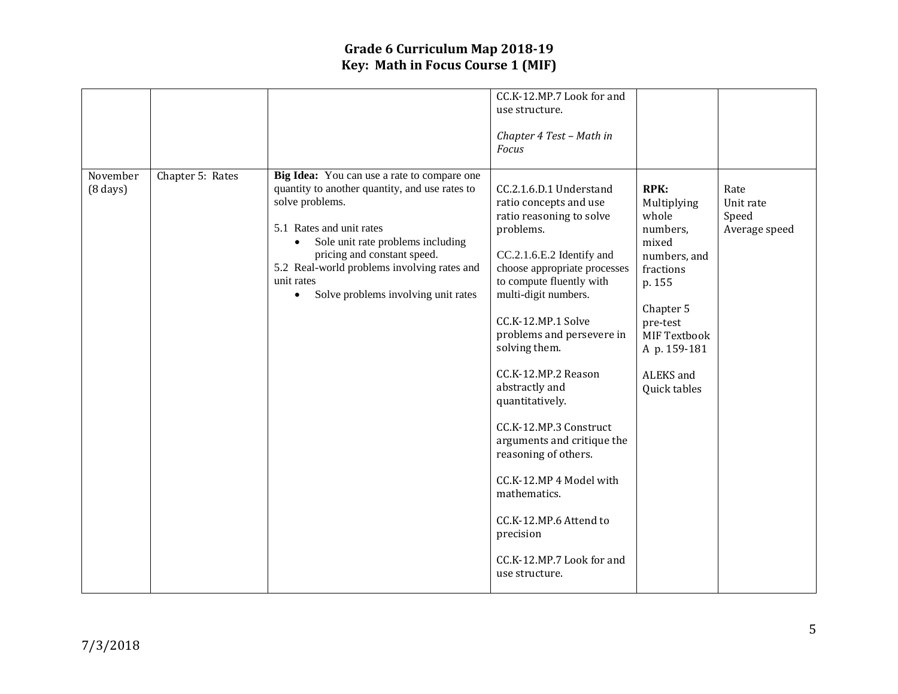|                                  |                  |                                                                                                                                                                                                                                                                                                                                   | CC.K-12.MP.7 Look for and<br>use structure.<br>Chapter 4 Test - Math in<br><b>Focus</b>                                                                                                                                                                                                                                                                                                                                                                                                                                                                      |                                                                                                                                                                                       |                                             |
|----------------------------------|------------------|-----------------------------------------------------------------------------------------------------------------------------------------------------------------------------------------------------------------------------------------------------------------------------------------------------------------------------------|--------------------------------------------------------------------------------------------------------------------------------------------------------------------------------------------------------------------------------------------------------------------------------------------------------------------------------------------------------------------------------------------------------------------------------------------------------------------------------------------------------------------------------------------------------------|---------------------------------------------------------------------------------------------------------------------------------------------------------------------------------------|---------------------------------------------|
| November<br>$(8 \, \text{days})$ | Chapter 5: Rates | Big Idea: You can use a rate to compare one<br>quantity to another quantity, and use rates to<br>solve problems.<br>5.1 Rates and unit rates<br>Sole unit rate problems including<br>pricing and constant speed.<br>5.2 Real-world problems involving rates and<br>unit rates<br>Solve problems involving unit rates<br>$\bullet$ | CC.2.1.6.D.1 Understand<br>ratio concepts and use<br>ratio reasoning to solve<br>problems.<br>CC.2.1.6.E.2 Identify and<br>choose appropriate processes<br>to compute fluently with<br>multi-digit numbers.<br>CC.K-12.MP.1 Solve<br>problems and persevere in<br>solving them.<br>CC.K-12.MP.2 Reason<br>abstractly and<br>quantitatively.<br>CC.K-12.MP.3 Construct<br>arguments and critique the<br>reasoning of others.<br>CC.K-12.MP 4 Model with<br>mathematics.<br>CC.K-12.MP.6 Attend to<br>precision<br>CC.K-12.MP.7 Look for and<br>use structure. | <b>RPK:</b><br>Multiplying<br>whole<br>numbers,<br>mixed<br>numbers, and<br>fractions<br>p. 155<br>Chapter 5<br>pre-test<br>MIF Textbook<br>A p. 159-181<br>ALEKS and<br>Quick tables | Rate<br>Unit rate<br>Speed<br>Average speed |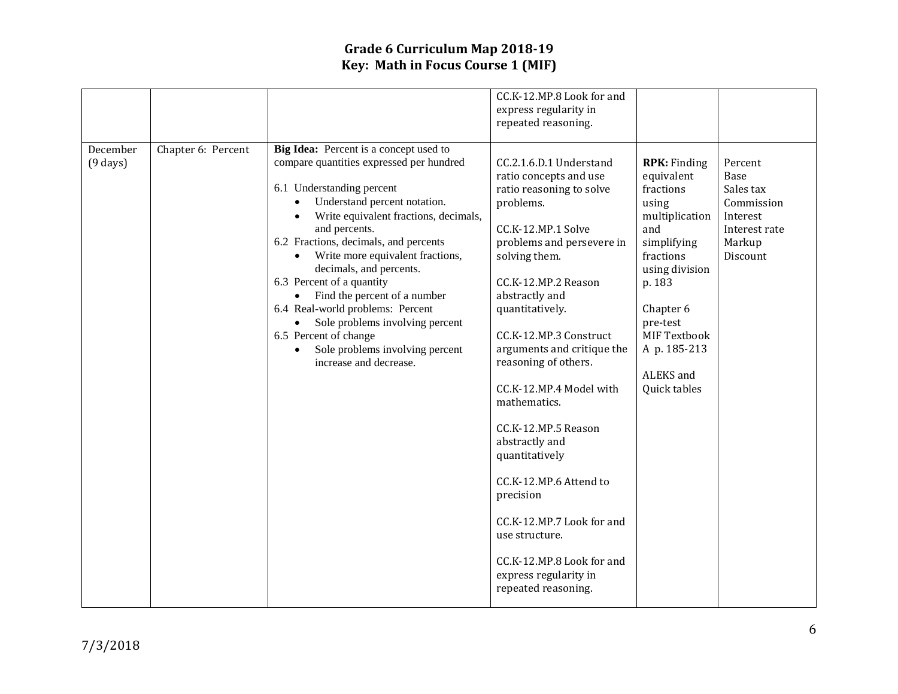|                                |                    |                                                                                                                                                                                                                                                                                                                                                                                                                                                                                                                                                          | CC.K-12.MP.8 Look for and<br>express regularity in<br>repeated reasoning.                                                                                                                                                                                                                                                                                                                                                                                                                                                                                                           |                                                                                                                                                                                                                                |                                                                                               |
|--------------------------------|--------------------|----------------------------------------------------------------------------------------------------------------------------------------------------------------------------------------------------------------------------------------------------------------------------------------------------------------------------------------------------------------------------------------------------------------------------------------------------------------------------------------------------------------------------------------------------------|-------------------------------------------------------------------------------------------------------------------------------------------------------------------------------------------------------------------------------------------------------------------------------------------------------------------------------------------------------------------------------------------------------------------------------------------------------------------------------------------------------------------------------------------------------------------------------------|--------------------------------------------------------------------------------------------------------------------------------------------------------------------------------------------------------------------------------|-----------------------------------------------------------------------------------------------|
| December<br>$(9 \text{ days})$ | Chapter 6: Percent | Big Idea: Percent is a concept used to<br>compare quantities expressed per hundred<br>6.1 Understanding percent<br>Understand percent notation.<br>Write equivalent fractions, decimals,<br>and percents.<br>6.2 Fractions, decimals, and percents<br>Write more equivalent fractions,<br>decimals, and percents.<br>6.3 Percent of a quantity<br>Find the percent of a number<br>6.4 Real-world problems: Percent<br>Sole problems involving percent<br>6.5 Percent of change<br>Sole problems involving percent<br>$\bullet$<br>increase and decrease. | CC.2.1.6.D.1 Understand<br>ratio concepts and use<br>ratio reasoning to solve<br>problems.<br>CC.K-12.MP.1 Solve<br>problems and persevere in<br>solving them.<br>CC.K-12.MP.2 Reason<br>abstractly and<br>quantitatively.<br>CC.K-12.MP.3 Construct<br>arguments and critique the<br>reasoning of others.<br>CC.K-12.MP.4 Model with<br>mathematics.<br>CC.K-12.MP.5 Reason<br>abstractly and<br>quantitatively<br>CC.K-12.MP.6 Attend to<br>precision<br>CC.K-12.MP.7 Look for and<br>use structure.<br>CC.K-12.MP.8 Look for and<br>express regularity in<br>repeated reasoning. | <b>RPK:</b> Finding<br>equivalent<br>fractions<br>using<br>multiplication<br>and<br>simplifying<br>fractions<br>using division<br>p. 183<br>Chapter 6<br>pre-test<br>MIF Textbook<br>A p. 185-213<br>ALEKS and<br>Quick tables | Percent<br>Base<br>Sales tax<br>Commission<br>Interest<br>Interest rate<br>Markup<br>Discount |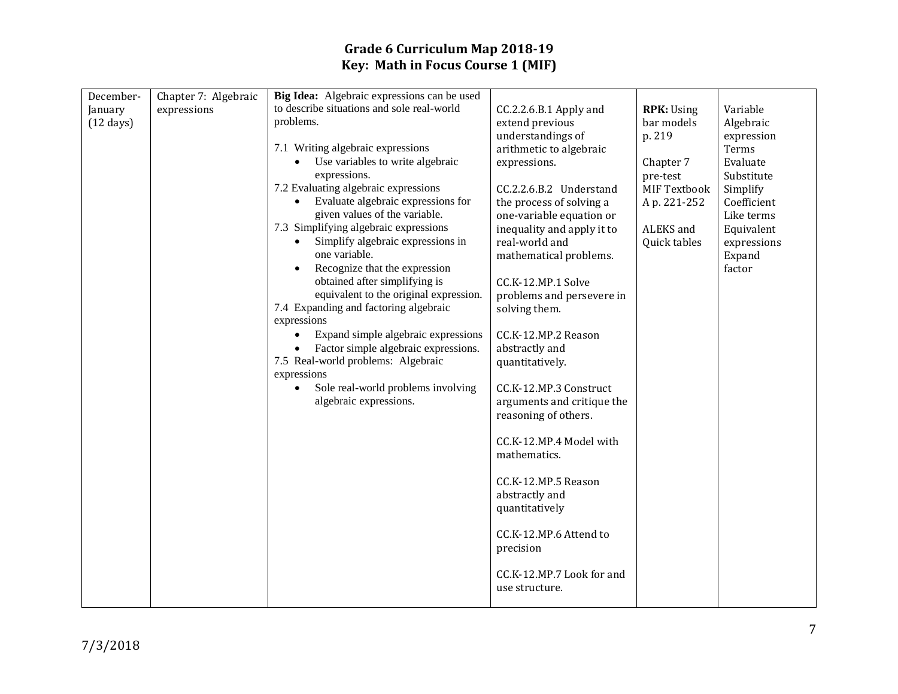| December-           | Chapter 7: Algebraic | Big Idea: Algebraic expressions can be used                                |                                              |                     |                       |
|---------------------|----------------------|----------------------------------------------------------------------------|----------------------------------------------|---------------------|-----------------------|
| January             | expressions          | to describe situations and sole real-world                                 | CC.2.2.6.B.1 Apply and                       | <b>RPK: Using</b>   | Variable              |
| $(12 \text{ days})$ |                      | problems.                                                                  | extend previous                              | bar models          | Algebraic             |
|                     |                      |                                                                            | understandings of                            | p. 219              | expression            |
|                     |                      | 7.1 Writing algebraic expressions                                          | arithmetic to algebraic                      |                     | Terms                 |
|                     |                      | Use variables to write algebraic                                           | expressions.                                 | Chapter 7           | Evaluate              |
|                     |                      | expressions.                                                               |                                              | pre-test            | Substitute            |
|                     |                      | 7.2 Evaluating algebraic expressions                                       | CC.2.2.6.B.2 Understand                      | <b>MIF Textbook</b> | Simplify              |
|                     |                      | Evaluate algebraic expressions for                                         | the process of solving a                     | Ap. 221-252         | Coefficient           |
|                     |                      | given values of the variable.                                              | one-variable equation or                     |                     | Like terms            |
|                     |                      | 7.3 Simplifying algebraic expressions<br>Simplify algebraic expressions in | inequality and apply it to<br>real-world and | ALEKS and           | Equivalent            |
|                     |                      | one variable.                                                              | mathematical problems.                       | Quick tables        | expressions<br>Expand |
|                     |                      | Recognize that the expression                                              |                                              |                     | factor                |
|                     |                      | obtained after simplifying is                                              | CC.K-12.MP.1 Solve                           |                     |                       |
|                     |                      | equivalent to the original expression.                                     | problems and persevere in                    |                     |                       |
|                     |                      | 7.4 Expanding and factoring algebraic                                      | solving them.                                |                     |                       |
|                     |                      | expressions                                                                |                                              |                     |                       |
|                     |                      | Expand simple algebraic expressions<br>$\bullet$                           | CC.K-12.MP.2 Reason                          |                     |                       |
|                     |                      | Factor simple algebraic expressions.                                       | abstractly and                               |                     |                       |
|                     |                      | 7.5 Real-world problems: Algebraic                                         | quantitatively.                              |                     |                       |
|                     |                      | expressions                                                                |                                              |                     |                       |
|                     |                      | Sole real-world problems involving<br>$\bullet$                            | CC.K-12.MP.3 Construct                       |                     |                       |
|                     |                      | algebraic expressions.                                                     | arguments and critique the                   |                     |                       |
|                     |                      |                                                                            | reasoning of others.                         |                     |                       |
|                     |                      |                                                                            |                                              |                     |                       |
|                     |                      |                                                                            | CC.K-12.MP.4 Model with                      |                     |                       |
|                     |                      |                                                                            | mathematics.                                 |                     |                       |
|                     |                      |                                                                            | CC.K-12.MP.5 Reason                          |                     |                       |
|                     |                      |                                                                            | abstractly and                               |                     |                       |
|                     |                      |                                                                            | quantitatively                               |                     |                       |
|                     |                      |                                                                            |                                              |                     |                       |
|                     |                      |                                                                            | CC.K-12.MP.6 Attend to                       |                     |                       |
|                     |                      |                                                                            | precision                                    |                     |                       |
|                     |                      |                                                                            |                                              |                     |                       |
|                     |                      |                                                                            | CC.K-12.MP.7 Look for and                    |                     |                       |
|                     |                      |                                                                            | use structure.                               |                     |                       |
|                     |                      |                                                                            |                                              |                     |                       |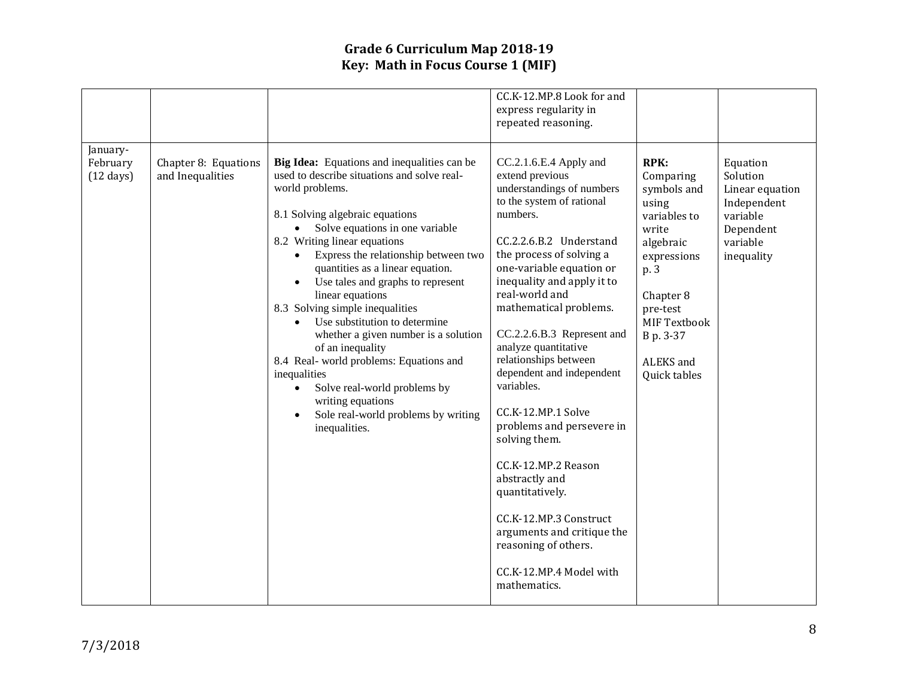|                                             |                                          |                                                                                                                                                                                                                                                                                                                                                                                                                                                                                                                                                                                                                                                                              | CC.K-12.MP.8 Look for and<br>express regularity in<br>repeated reasoning.                                                                                                                                                                                                                                                                                                                                                                                                                                                                                                                                                                                         |                                                                                                                                                                                                         |                                                                                                           |
|---------------------------------------------|------------------------------------------|------------------------------------------------------------------------------------------------------------------------------------------------------------------------------------------------------------------------------------------------------------------------------------------------------------------------------------------------------------------------------------------------------------------------------------------------------------------------------------------------------------------------------------------------------------------------------------------------------------------------------------------------------------------------------|-------------------------------------------------------------------------------------------------------------------------------------------------------------------------------------------------------------------------------------------------------------------------------------------------------------------------------------------------------------------------------------------------------------------------------------------------------------------------------------------------------------------------------------------------------------------------------------------------------------------------------------------------------------------|---------------------------------------------------------------------------------------------------------------------------------------------------------------------------------------------------------|-----------------------------------------------------------------------------------------------------------|
| January-<br>February<br>$(12 \text{ days})$ | Chapter 8: Equations<br>and Inequalities | Big Idea: Equations and inequalities can be<br>used to describe situations and solve real-<br>world problems.<br>8.1 Solving algebraic equations<br>Solve equations in one variable<br>8.2 Writing linear equations<br>Express the relationship between two<br>quantities as a linear equation.<br>Use tales and graphs to represent<br>linear equations<br>8.3 Solving simple inequalities<br>Use substitution to determine<br>whether a given number is a solution<br>of an inequality<br>8.4 Real-world problems: Equations and<br>inequalities<br>Solve real-world problems by<br>$\bullet$<br>writing equations<br>Sole real-world problems by writing<br>inequalities. | CC.2.1.6.E.4 Apply and<br>extend previous<br>understandings of numbers<br>to the system of rational<br>numbers.<br>CC.2.2.6.B.2 Understand<br>the process of solving a<br>one-variable equation or<br>inequality and apply it to<br>real-world and<br>mathematical problems.<br>CC.2.2.6.B.3 Represent and<br>analyze quantitative<br>relationships between<br>dependent and independent<br>variables.<br>CC.K-12.MP.1 Solve<br>problems and persevere in<br>solving them.<br>CC.K-12.MP.2 Reason<br>abstractly and<br>quantitatively.<br>CC.K-12.MP.3 Construct<br>arguments and critique the<br>reasoning of others.<br>CC.K-12.MP.4 Model with<br>mathematics. | <b>RPK:</b><br>Comparing<br>symbols and<br>using<br>variables to<br>write<br>algebraic<br>expressions<br>p. 3<br>Chapter 8<br>pre-test<br><b>MIF Textbook</b><br>B p. 3-37<br>ALEKS and<br>Quick tables | Equation<br>Solution<br>Linear equation<br>Independent<br>variable<br>Dependent<br>variable<br>inequality |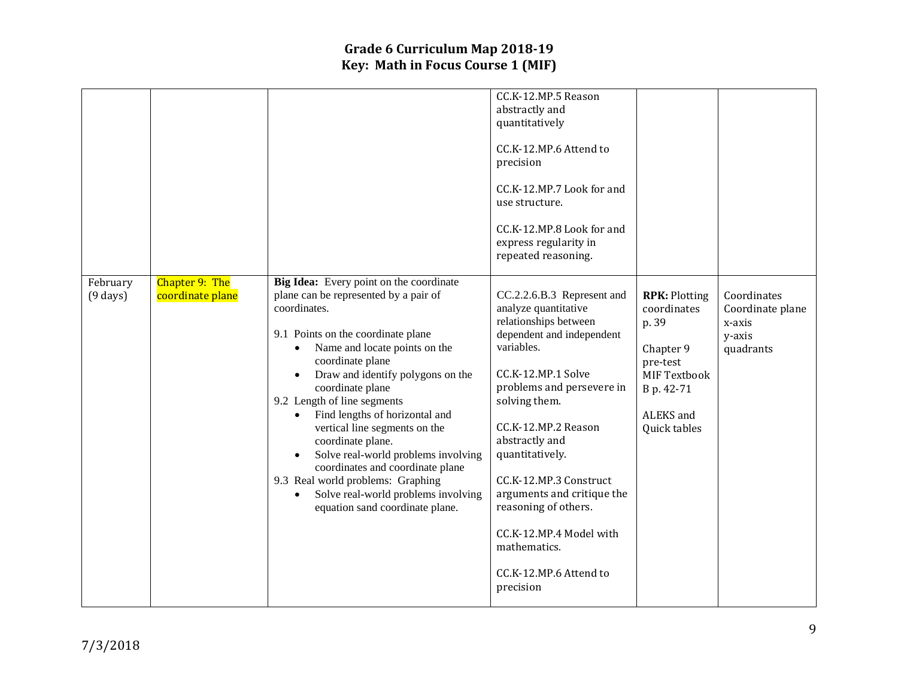|                                  |                                           |                                                                                                                                                                                                                                                                                                                                                                                                                                                                                                                                                                       | CC.K-12.MP.5 Reason<br>abstractly and<br>quantitatively<br>CC.K-12.MP.6 Attend to<br>precision<br>CC.K-12.MP.7 Look for and<br>use structure.<br>CC.K-12.MP.8 Look for and<br>express regularity in<br>repeated reasoning.                                                                                                                                                                                               |                                                                                                                                         |                                                                  |
|----------------------------------|-------------------------------------------|-----------------------------------------------------------------------------------------------------------------------------------------------------------------------------------------------------------------------------------------------------------------------------------------------------------------------------------------------------------------------------------------------------------------------------------------------------------------------------------------------------------------------------------------------------------------------|--------------------------------------------------------------------------------------------------------------------------------------------------------------------------------------------------------------------------------------------------------------------------------------------------------------------------------------------------------------------------------------------------------------------------|-----------------------------------------------------------------------------------------------------------------------------------------|------------------------------------------------------------------|
| February<br>$(9 \, \text{days})$ | <b>Chapter 9: The</b><br>coordinate plane | Big Idea: Every point on the coordinate<br>plane can be represented by a pair of<br>coordinates.<br>9.1 Points on the coordinate plane<br>Name and locate points on the<br>coordinate plane<br>Draw and identify polygons on the<br>coordinate plane<br>9.2 Length of line segments<br>Find lengths of horizontal and<br>vertical line segments on the<br>coordinate plane.<br>Solve real-world problems involving<br>coordinates and coordinate plane<br>9.3 Real world problems: Graphing<br>Solve real-world problems involving<br>equation sand coordinate plane. | CC.2.2.6.B.3 Represent and<br>analyze quantitative<br>relationships between<br>dependent and independent<br>variables.<br>CC.K-12.MP.1 Solve<br>problems and persevere in<br>solving them.<br>CC.K-12.MP.2 Reason<br>abstractly and<br>quantitatively.<br>CC.K-12.MP.3 Construct<br>arguments and critique the<br>reasoning of others.<br>CC.K-12.MP.4 Model with<br>mathematics.<br>CC.K-12.MP.6 Attend to<br>precision | <b>RPK: Plotting</b><br>coordinates<br>p. 39<br>Chapter 9<br>pre-test<br><b>MIF Textbook</b><br>B p. 42-71<br>ALEKS and<br>Quick tables | Coordinates<br>Coordinate plane<br>x-axis<br>y-axis<br>quadrants |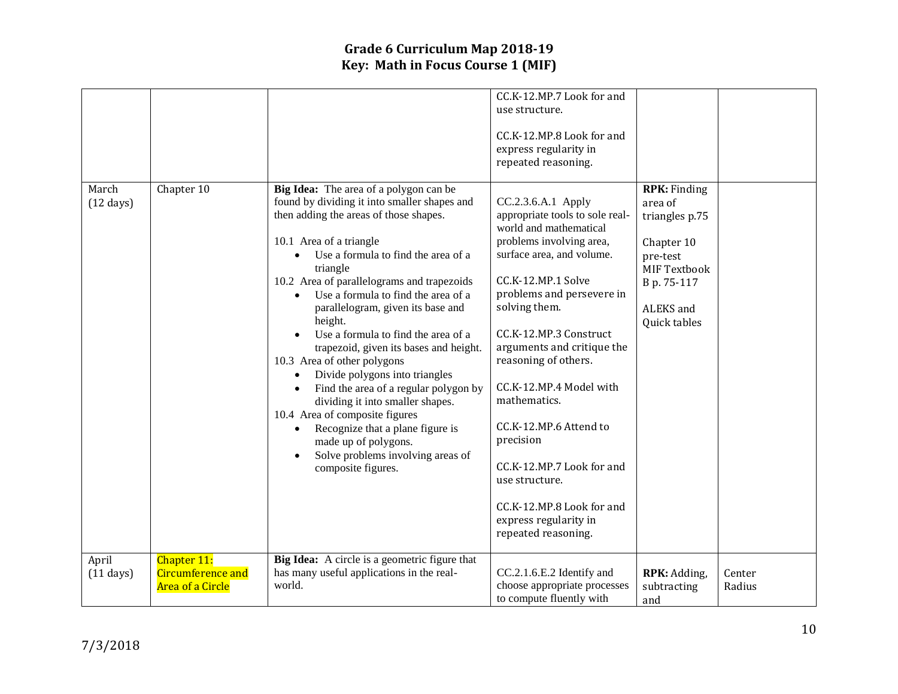|                              |                                                             |                                                                                                                                                                                                                                                                                                                                                                                                                                                                                                                                                                                                                                                                                                                                                                       | CC.K-12.MP.7 Look for and<br>use structure.<br>CC.K-12.MP.8 Look for and<br>express regularity in<br>repeated reasoning.                                                                                                                                                                                                                                                                                                                                                                                   |                                                                                                                                        |                  |
|------------------------------|-------------------------------------------------------------|-----------------------------------------------------------------------------------------------------------------------------------------------------------------------------------------------------------------------------------------------------------------------------------------------------------------------------------------------------------------------------------------------------------------------------------------------------------------------------------------------------------------------------------------------------------------------------------------------------------------------------------------------------------------------------------------------------------------------------------------------------------------------|------------------------------------------------------------------------------------------------------------------------------------------------------------------------------------------------------------------------------------------------------------------------------------------------------------------------------------------------------------------------------------------------------------------------------------------------------------------------------------------------------------|----------------------------------------------------------------------------------------------------------------------------------------|------------------|
| March<br>$(12 \text{ days})$ | Chapter 10                                                  | Big Idea: The area of a polygon can be<br>found by dividing it into smaller shapes and<br>then adding the areas of those shapes.<br>10.1 Area of a triangle<br>Use a formula to find the area of a<br>triangle<br>10.2 Area of parallelograms and trapezoids<br>Use a formula to find the area of a<br>parallelogram, given its base and<br>height.<br>Use a formula to find the area of a<br>trapezoid, given its bases and height.<br>10.3 Area of other polygons<br>Divide polygons into triangles<br>$\bullet$<br>Find the area of a regular polygon by<br>dividing it into smaller shapes.<br>10.4 Area of composite figures<br>Recognize that a plane figure is<br>$\bullet$<br>made up of polygons.<br>Solve problems involving areas of<br>composite figures. | CC.2.3.6.A.1 Apply<br>appropriate tools to sole real-<br>world and mathematical<br>problems involving area,<br>surface area, and volume.<br>CC.K-12.MP.1 Solve<br>problems and persevere in<br>solving them.<br>CC.K-12.MP.3 Construct<br>arguments and critique the<br>reasoning of others.<br>CC.K-12.MP.4 Model with<br>mathematics.<br>CC.K-12.MP.6 Attend to<br>precision<br>CC.K-12.MP.7 Look for and<br>use structure.<br>CC.K-12.MP.8 Look for and<br>express regularity in<br>repeated reasoning. | <b>RPK:</b> Finding<br>area of<br>triangles p.75<br>Chapter 10<br>pre-test<br>MIF Textbook<br>B p. 75-117<br>ALEKS and<br>Quick tables |                  |
| April<br>$(11 \text{ days})$ | Chapter 11:<br><b>Circumference and</b><br>Area of a Circle | Big Idea: A circle is a geometric figure that<br>has many useful applications in the real-<br>world.                                                                                                                                                                                                                                                                                                                                                                                                                                                                                                                                                                                                                                                                  | CC.2.1.6.E.2 Identify and<br>choose appropriate processes<br>to compute fluently with                                                                                                                                                                                                                                                                                                                                                                                                                      | RPK: Adding,<br>subtracting<br>and                                                                                                     | Center<br>Radius |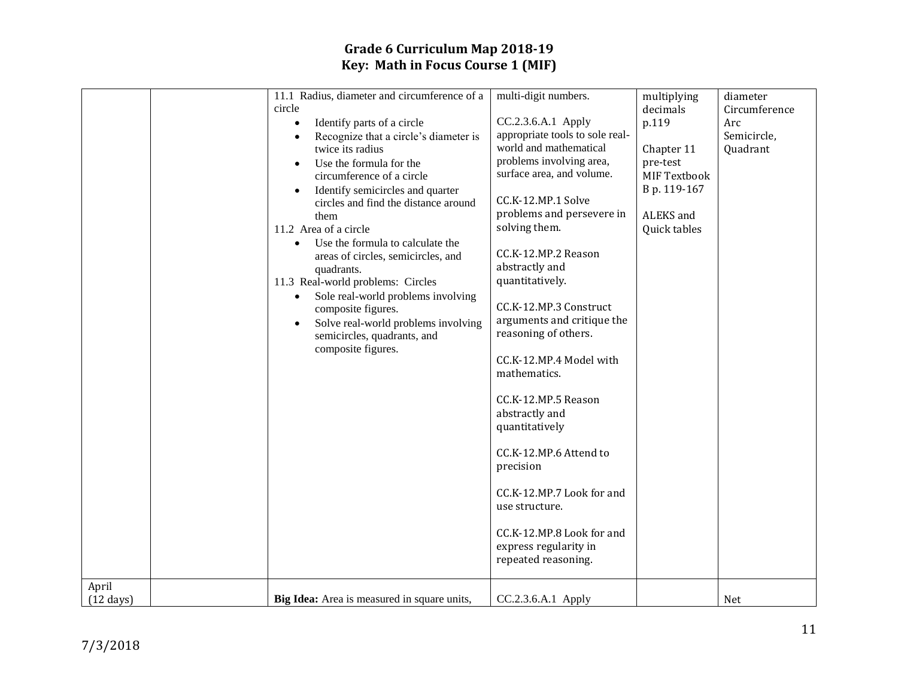| April<br>$(12 \text{ days})$ | 11.1 Radius, diameter and circumference of a<br>circle<br>Identify parts of a circle<br>$\bullet$<br>Recognize that a circle's diameter is<br>twice its radius<br>Use the formula for the<br>circumference of a circle<br>Identify semicircles and quarter<br>circles and find the distance around<br>them<br>11.2 Area of a circle<br>Use the formula to calculate the<br>$\bullet$<br>areas of circles, semicircles, and<br>quadrants.<br>11.3 Real-world problems: Circles<br>Sole real-world problems involving<br>$\bullet$<br>composite figures.<br>Solve real-world problems involving<br>$\bullet$<br>semicircles, quadrants, and<br>composite figures.<br>Big Idea: Area is measured in square units, | multi-digit numbers.<br>CC.2.3.6.A.1 Apply<br>appropriate tools to sole real-<br>world and mathematical<br>problems involving area,<br>surface area, and volume.<br>CC.K-12.MP.1 Solve<br>problems and persevere in<br>solving them.<br>CC.K-12.MP.2 Reason<br>abstractly and<br>quantitatively.<br>CC.K-12.MP.3 Construct<br>arguments and critique the<br>reasoning of others.<br>CC.K-12.MP.4 Model with<br>mathematics.<br>CC.K-12.MP.5 Reason<br>abstractly and<br>quantitatively<br>CC.K-12.MP.6 Attend to<br>precision<br>CC.K-12.MP.7 Look for and<br>use structure.<br>CC.K-12.MP.8 Look for and<br>express regularity in<br>repeated reasoning.<br>CC.2.3.6.A.1 Apply | multiplying<br>decimals<br>p.119<br>Chapter 11<br>pre-test<br>MIF Textbook<br>B p. 119-167<br>ALEKS and<br>Quick tables | diameter<br>Circumference<br>Arc<br>Semicircle,<br>Quadrant<br>Net |
|------------------------------|----------------------------------------------------------------------------------------------------------------------------------------------------------------------------------------------------------------------------------------------------------------------------------------------------------------------------------------------------------------------------------------------------------------------------------------------------------------------------------------------------------------------------------------------------------------------------------------------------------------------------------------------------------------------------------------------------------------|---------------------------------------------------------------------------------------------------------------------------------------------------------------------------------------------------------------------------------------------------------------------------------------------------------------------------------------------------------------------------------------------------------------------------------------------------------------------------------------------------------------------------------------------------------------------------------------------------------------------------------------------------------------------------------|-------------------------------------------------------------------------------------------------------------------------|--------------------------------------------------------------------|
|                              |                                                                                                                                                                                                                                                                                                                                                                                                                                                                                                                                                                                                                                                                                                                |                                                                                                                                                                                                                                                                                                                                                                                                                                                                                                                                                                                                                                                                                 |                                                                                                                         |                                                                    |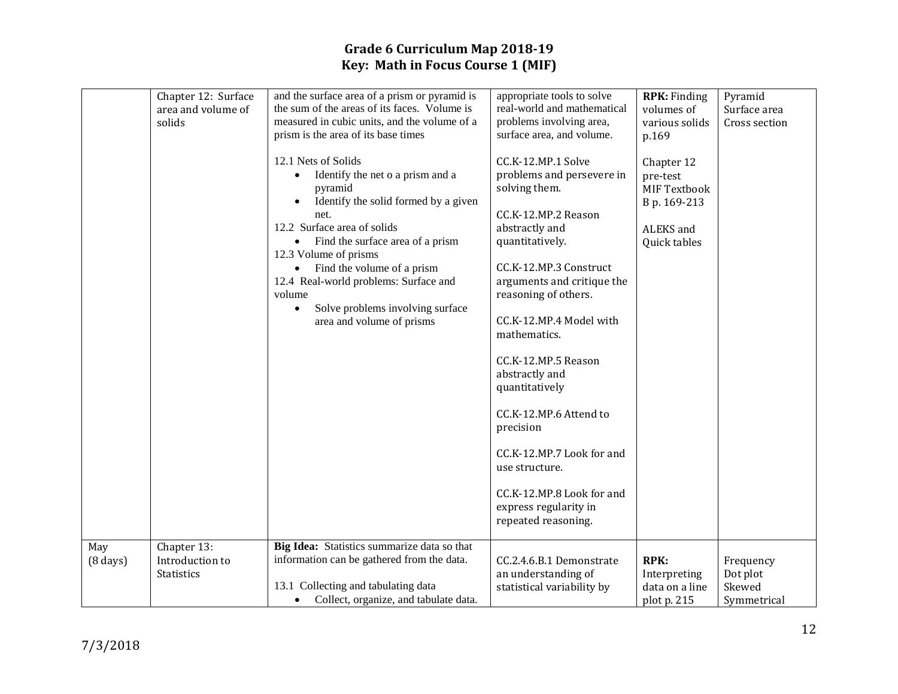|                           | Chapter 12: Surface<br>area and volume of<br>solids | and the surface area of a prism or pyramid is<br>the sum of the areas of its faces. Volume is<br>measured in cubic units, and the volume of a<br>prism is the area of its base times<br>12.1 Nets of Solids<br>Identify the net o a prism and a<br>pyramid<br>Identify the solid formed by a given<br>net.<br>12.2 Surface area of solids<br>Find the surface area of a prism<br>$\bullet$<br>12.3 Volume of prisms<br>Find the volume of a prism<br>$\bullet$<br>12.4 Real-world problems: Surface and<br>volume<br>Solve problems involving surface<br>$\bullet$<br>area and volume of prisms | appropriate tools to solve<br>real-world and mathematical<br>problems involving area,<br>surface area, and volume.<br>CC.K-12.MP.1 Solve<br>problems and persevere in<br>solving them.<br>CC.K-12.MP.2 Reason<br>abstractly and<br>quantitatively.<br>CC.K-12.MP.3 Construct<br>arguments and critique the<br>reasoning of others.<br>CC.K-12.MP.4 Model with<br>mathematics.<br>CC.K-12.MP.5 Reason<br>abstractly and<br>quantitatively<br>CC.K-12.MP.6 Attend to<br>precision<br>CC.K-12.MP.7 Look for and<br>use structure.<br>CC.K-12.MP.8 Look for and<br>express regularity in<br>repeated reasoning. | <b>RPK:</b> Finding<br>volumes of<br>various solids<br>p.169<br>Chapter 12<br>pre-test<br>MIF Textbook<br>B p. 169-213<br>ALEKS and<br>Quick tables | Pyramid<br>Surface area<br>Cross section       |
|---------------------------|-----------------------------------------------------|-------------------------------------------------------------------------------------------------------------------------------------------------------------------------------------------------------------------------------------------------------------------------------------------------------------------------------------------------------------------------------------------------------------------------------------------------------------------------------------------------------------------------------------------------------------------------------------------------|-------------------------------------------------------------------------------------------------------------------------------------------------------------------------------------------------------------------------------------------------------------------------------------------------------------------------------------------------------------------------------------------------------------------------------------------------------------------------------------------------------------------------------------------------------------------------------------------------------------|-----------------------------------------------------------------------------------------------------------------------------------------------------|------------------------------------------------|
| May<br>$(8 \text{ days})$ | Chapter 13:<br>Introduction to<br><b>Statistics</b> | Big Idea: Statistics summarize data so that<br>information can be gathered from the data.<br>13.1 Collecting and tabulating data<br>Collect, organize, and tabulate data.<br>$\bullet$                                                                                                                                                                                                                                                                                                                                                                                                          | CC.2.4.6.B.1 Demonstrate<br>an understanding of<br>statistical variability by                                                                                                                                                                                                                                                                                                                                                                                                                                                                                                                               | <b>RPK:</b><br>Interpreting<br>data on a line<br>plot p. 215                                                                                        | Frequency<br>Dot plot<br>Skewed<br>Symmetrical |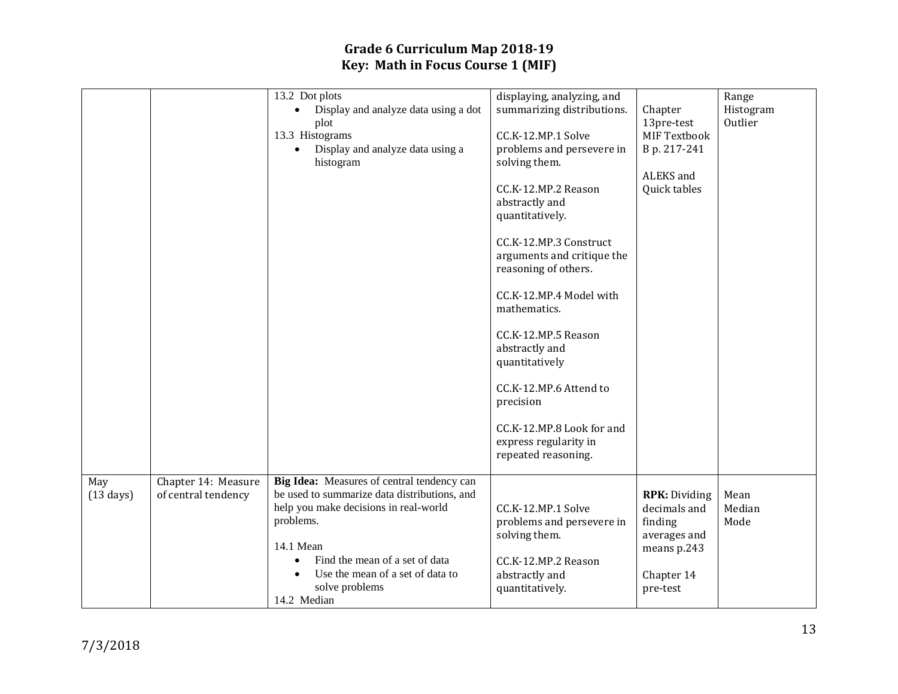|                            |                                            | 13.2 Dot plots<br>Display and analyze data using a dot<br>$\bullet$<br>plot<br>13.3 Histograms<br>Display and analyze data using a<br>histogram                                                                                                                      | displaying, analyzing, and<br>summarizing distributions.<br>CC.K-12.MP.1 Solve<br>problems and persevere in<br>solving them.<br>CC.K-12.MP.2 Reason<br>abstractly and<br>quantitatively.<br>CC.K-12.MP.3 Construct<br>arguments and critique the<br>reasoning of others.<br>CC.K-12.MP.4 Model with<br>mathematics.<br>CC.K-12.MP.5 Reason<br>abstractly and<br>quantitatively<br>CC.K-12.MP.6 Attend to<br>precision<br>CC.K-12.MP.8 Look for and<br>express regularity in<br>repeated reasoning. | Chapter<br>13pre-test<br>MIF Textbook<br>B p. 217-241<br>ALEKS and<br>Quick tables                       | Range<br>Histogram<br>Outlier |
|----------------------------|--------------------------------------------|----------------------------------------------------------------------------------------------------------------------------------------------------------------------------------------------------------------------------------------------------------------------|----------------------------------------------------------------------------------------------------------------------------------------------------------------------------------------------------------------------------------------------------------------------------------------------------------------------------------------------------------------------------------------------------------------------------------------------------------------------------------------------------|----------------------------------------------------------------------------------------------------------|-------------------------------|
| May<br>$(13 \text{ days})$ | Chapter 14: Measure<br>of central tendency | Big Idea: Measures of central tendency can<br>be used to summarize data distributions, and<br>help you make decisions in real-world<br>problems.<br>14.1 Mean<br>Find the mean of a set of data<br>Use the mean of a set of data to<br>solve problems<br>14.2 Median | CC.K-12.MP.1 Solve<br>problems and persevere in<br>solving them.<br>CC.K-12.MP.2 Reason<br>abstractly and<br>quantitatively.                                                                                                                                                                                                                                                                                                                                                                       | <b>RPK: Dividing</b><br>decimals and<br>finding<br>averages and<br>means p.243<br>Chapter 14<br>pre-test | Mean<br>Median<br>Mode        |